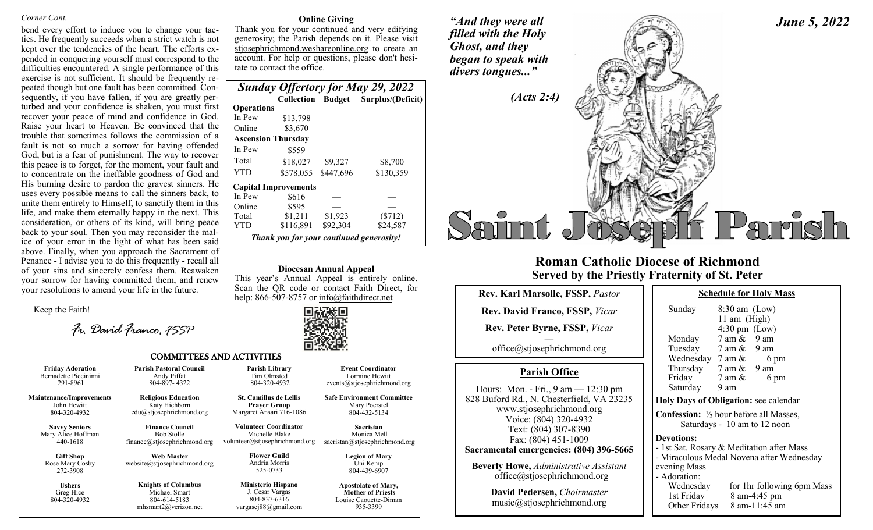#### *Corner Cont.*

bend every effort to induce you to change your tactics. He frequently succeeds when a strict watch is not kept over the tendencies of the heart. The efforts expended in conquering yourself must correspond to the difficulties encountered. A single performance of this exercise is not sufficient. It should be frequently repeated though but one fault has been committed. Consequently, if you have fallen, if you are greatly perturbed and your confidence is shaken, you must first recover your peace of mind and confidence in God. Raise your heart to Heaven. Be convinced that the trouble that sometimes follows the commission of a fault is not so much a sorrow for having offended God, but is a fear of punishment. The way to recover this peace is to forget, for the moment, your fault and to concentrate on the ineffable goodness of God and His burning desire to pardon the gravest sinners. He uses every possible means to call the sinners back, to unite them entirely to Himself, to sanctify them in this life, and make them eternally happy in the next. This consideration, or others of its kind, will bring peace back to your soul. Then you may reconsider the malice of your error in the light of what has been said above. Finally, when you approach the Sacrament of Penance - I advise you to do this frequently - recall all of your sins and sincerely confess them. Reawaken your sorrow for having committed them, and renew your resolutions to amend your life in the future.

Keep the Faith!

*Fr. David Franco, FSSP*

#### **Online Giving**

Thank you for your continued and very edifying generosity; the Parish depends on it. Please visit stjosephrichmond.weshareonline.org to create an account. For help or questions, please don't hesitate to contact the office.

|                   |                                          |           | <b>Sunday Offertory for May 29, 2022</b> |
|-------------------|------------------------------------------|-----------|------------------------------------------|
|                   |                                          |           | Collection Budget Surplus/(Deficit)      |
| <b>Operations</b> |                                          |           |                                          |
| In Pew            | \$13,798                                 |           |                                          |
| Online            | \$3,670                                  |           |                                          |
|                   | <b>Ascension Thursday</b>                |           |                                          |
| In Pew            | \$559                                    |           |                                          |
| Total             | \$18,027                                 | \$9,327   | \$8,700                                  |
| YTD               | \$578.055                                | \$447,696 | \$130,359                                |
|                   | <b>Capital Improvements</b>              |           |                                          |
| In Pew            | \$616                                    |           |                                          |
| Online            | \$595                                    |           |                                          |
| Total             | \$1,211                                  | \$1,923   | $(\$712)$                                |
| YTD               | \$116,891                                | \$92,304  | \$24.587                                 |
|                   | Thank you for your continued generosity! |           |                                          |

#### **Diocesan Annual Appeal**

This year's Annual Appeal is entirely online. Scan the QR code or contact Faith Direct, for help: 866-507-8757 or info@faithdirect.net



**Event Coordinator** Lorraine Hewitt events@stjosephrichmond.org **Safe Environment Committee** Mary Poerstel 804-432-5134 **Sacristan** Monica Mell sacristan@stjosephrichmond.org **Legion of Mary** Uni Kemp 804-439-6907 **Apostolate of Mary, Mother of Priests** Louise Caouette-Diman 935-3399

#### COMMITTEES AND ACTIVITIES

| <b>Friday Adoration</b>                         | <b>Parish Pastoral Council</b>                                                          | <b>Parish Library</b>                                                                |
|-------------------------------------------------|-----------------------------------------------------------------------------------------|--------------------------------------------------------------------------------------|
| Bernadette Piccininni                           | Andy Piffat                                                                             | Tim Olmsted                                                                          |
| 291-8961                                        | 804-897-4322                                                                            | 804-320-4932                                                                         |
| <b>Maintenance/Improvements</b>                 | <b>Religious Education</b>                                                              | <b>St. Camillus de Lellis</b>                                                        |
| John Hewitt                                     | Katy Hichborn                                                                           | <b>Prayer Group</b>                                                                  |
| 804-320-4932                                    | $edu(a)$ stjosephrichmond.org                                                           | Margaret Ansari 716-1086                                                             |
| <b>Savvy Seniors</b>                            | <b>Finance Council</b>                                                                  | <b>Volunteer Coordinator</b>                                                         |
| Mary Alice Hoffman                              | <b>Bob Stolle</b>                                                                       | Michelle Blake                                                                       |
| 440-1618                                        | finance@stjosephrichmond.org                                                            | volunteer@stjosephrichmond.org                                                       |
| <b>Gift Shop</b><br>Rose Mary Cosby<br>272-3908 | <b>Web Master</b><br>website@stjosephrichmond.org                                       | <b>Flower Guild</b><br>Andria Morris<br>525-0733                                     |
| <b>Ushers</b><br>Greg Hice<br>804-320-4932      | <b>Knights of Columbus</b><br>Michael Smart<br>804-614-5183<br>mhsmart $2@$ verizon.net | <b>Ministerio Hispano</b><br>J. Cesar Vargas<br>804-837-6316<br>vargasci88@gmail.com |



## **Roman Catholic Diocese of Richmond Served by the Priestly Fraternity of St. Peter**

| <b>Rev. Karl Marsolle, FSSP, Pastor</b>                                                                                                                                                                                                           |                          |
|---------------------------------------------------------------------------------------------------------------------------------------------------------------------------------------------------------------------------------------------------|--------------------------|
| <b>Rev. David Franco, FSSP, Vicar</b>                                                                                                                                                                                                             |                          |
| <b>Rev. Peter Byrne, FSSP, Vicar</b>                                                                                                                                                                                                              |                          |
| office@stjosephrichmond.org                                                                                                                                                                                                                       |                          |
| <b>Parish Office</b>                                                                                                                                                                                                                              |                          |
| Hours: Mon. - Fri., $9 \text{ am} - 12:30 \text{ pm}$<br>828 Buford Rd., N. Chesterfield, VA 23235<br>www.stjosephrichmond.org<br>Voice: (804) 320-4932<br>Text: (804) 307-8390<br>Fax: (804) 451-1009<br>Sacramental emergencies: (804) 396-5665 | H<br>$\overline{C}$<br>D |
| <b>Beverly Howe, Administrative Assistant</b><br>office@stjosephrichmond.org                                                                                                                                                                      | e١                       |
| David Pedersen, Choirmaster<br>music@stjosephrichmond.org                                                                                                                                                                                         |                          |

| Sunday                                                                                   | $8:30$ am (Low)<br>11 am (High)<br>$4:30 \text{ pm}$ (Low) |      |  |  |  |
|------------------------------------------------------------------------------------------|------------------------------------------------------------|------|--|--|--|
| Monday                                                                                   | $7$ am $\&$ 9 am                                           |      |  |  |  |
| Tuesday                                                                                  | $7 \text{ am } \& 9 \text{ am}$                            |      |  |  |  |
| Wednesday                                                                                | 7 am &                                                     | 6 pm |  |  |  |
| Thursday                                                                                 | 7 am &                                                     | 9 am |  |  |  |
| Friday                                                                                   | 7 am &                                                     | 6 pm |  |  |  |
| Saturday                                                                                 | 9 am                                                       |      |  |  |  |
| <b>Holy Days of Obligation: see calendar</b>                                             |                                                            |      |  |  |  |
| <b>Confession:</b> $\frac{1}{2}$ hour before all Masses,<br>Saturdays - 10 am to 12 noon |                                                            |      |  |  |  |

**Devotions:** 

1st Sat. Rosary & Meditation after Mass

Miraculous Medal Novena after Wednesday vening Mass

Adoration:

Wednesday for 1hr following 6pm Mass 1st Friday 8 am-4:45 pm Other Fridays 8 am-11:45 am